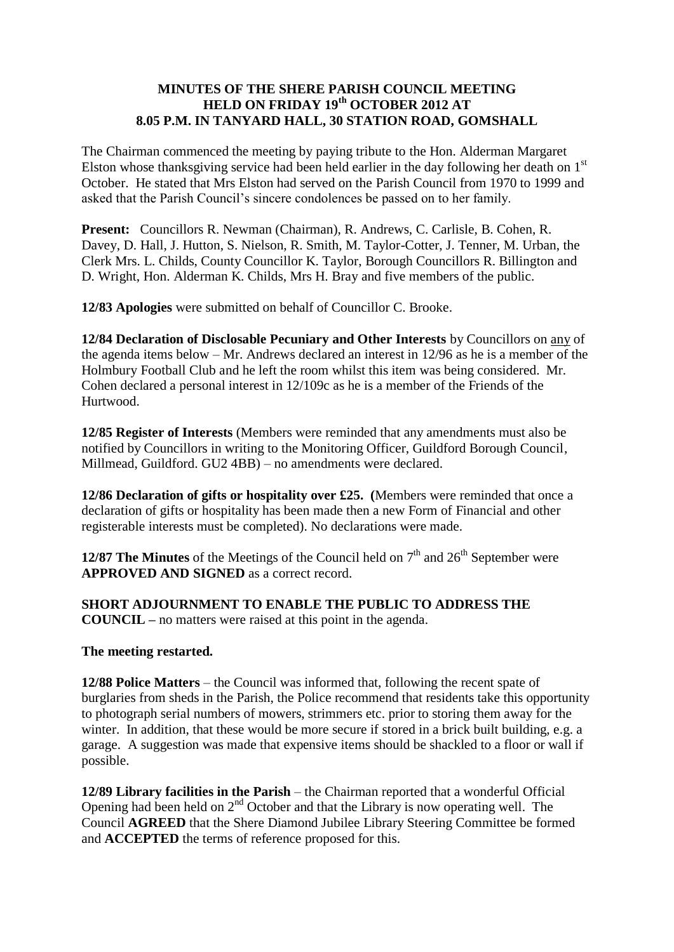### **MINUTES OF THE SHERE PARISH COUNCIL MEETING HELD ON FRIDAY 19th OCTOBER 2012 AT 8.05 P.M. IN TANYARD HALL, 30 STATION ROAD, GOMSHALL**

The Chairman commenced the meeting by paying tribute to the Hon. Alderman Margaret Elston whose thanksgiving service had been held earlier in the day following her death on  $1<sup>st</sup>$ October. He stated that Mrs Elston had served on the Parish Council from 1970 to 1999 and asked that the Parish Council's sincere condolences be passed on to her family.

**Present:** Councillors R. Newman (Chairman), R. Andrews, C. Carlisle, B. Cohen, R. Davey, D. Hall, J. Hutton, S. Nielson, R. Smith, M. Taylor-Cotter, J. Tenner, M. Urban, the Clerk Mrs. L. Childs, County Councillor K. Taylor, Borough Councillors R. Billington and D. Wright, Hon. Alderman K. Childs, Mrs H. Bray and five members of the public.

**12/83 Apologies** were submitted on behalf of Councillor C. Brooke.

**12/84 Declaration of Disclosable Pecuniary and Other Interests** by Councillors on any of the agenda items below – Mr. Andrews declared an interest in 12/96 as he is a member of the Holmbury Football Club and he left the room whilst this item was being considered. Mr. Cohen declared a personal interest in 12/109c as he is a member of the Friends of the Hurtwood.

**12/85 Register of Interests** (Members were reminded that any amendments must also be notified by Councillors in writing to the Monitoring Officer, Guildford Borough Council, Millmead, Guildford. GU2 4BB) – no amendments were declared.

**12/86 Declaration of gifts or hospitality over £25. (**Members were reminded that once a declaration of gifts or hospitality has been made then a new Form of Financial and other registerable interests must be completed). No declarations were made.

**12/87 The Minutes** of the Meetings of the Council held on  $7<sup>th</sup>$  and  $26<sup>th</sup>$  September were **APPROVED AND SIGNED** as a correct record.

**SHORT ADJOURNMENT TO ENABLE THE PUBLIC TO ADDRESS THE COUNCIL –** no matters were raised at this point in the agenda.

**The meeting restarted.**

**12/88 Police Matters** – the Council was informed that, following the recent spate of burglaries from sheds in the Parish, the Police recommend that residents take this opportunity to photograph serial numbers of mowers, strimmers etc. prior to storing them away for the winter. In addition, that these would be more secure if stored in a brick built building, e.g. a garage. A suggestion was made that expensive items should be shackled to a floor or wall if possible.

**12/89 Library facilities in the Parish** – the Chairman reported that a wonderful Official Opening had been held on  $2<sup>nd</sup>$  October and that the Library is now operating well. The Council **AGREED** that the Shere Diamond Jubilee Library Steering Committee be formed and **ACCEPTED** the terms of reference proposed for this.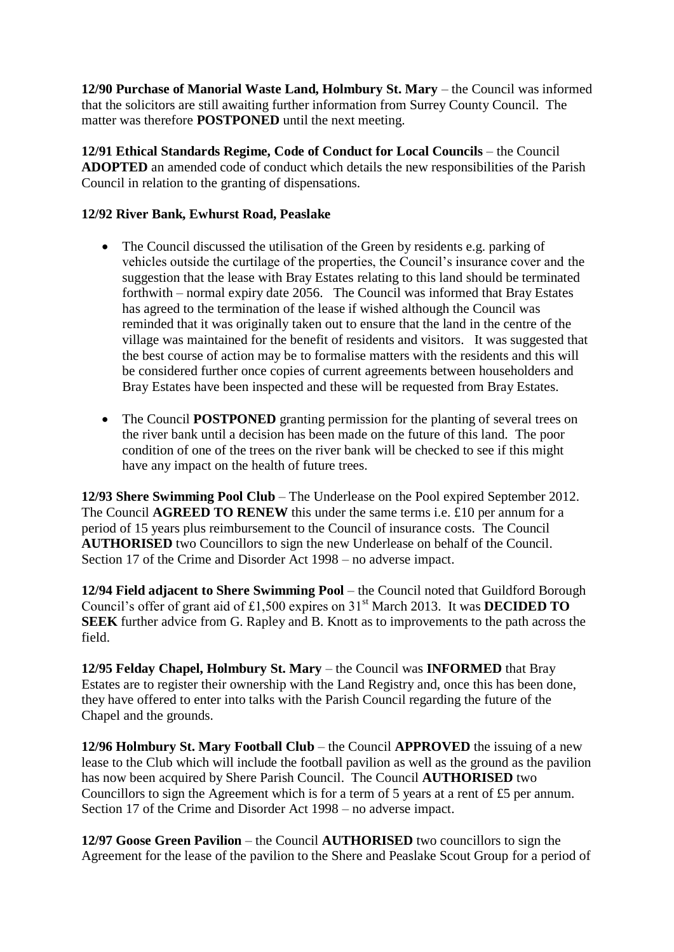**12/90 Purchase of Manorial Waste Land, Holmbury St. Mary** – the Council was informed that the solicitors are still awaiting further information from Surrey County Council. The matter was therefore **POSTPONED** until the next meeting.

**12/91 Ethical Standards Regime, Code of Conduct for Local Councils** – the Council **ADOPTED** an amended code of conduct which details the new responsibilities of the Parish Council in relation to the granting of dispensations.

# **12/92 River Bank, Ewhurst Road, Peaslake**

- The Council discussed the utilisation of the Green by residents e.g. parking of vehicles outside the curtilage of the properties, the Council's insurance cover and the suggestion that the lease with Bray Estates relating to this land should be terminated forthwith – normal expiry date 2056. The Council was informed that Bray Estates has agreed to the termination of the lease if wished although the Council was reminded that it was originally taken out to ensure that the land in the centre of the village was maintained for the benefit of residents and visitors. It was suggested that the best course of action may be to formalise matters with the residents and this will be considered further once copies of current agreements between householders and Bray Estates have been inspected and these will be requested from Bray Estates.
- The Council **POSTPONED** granting permission for the planting of several trees on the river bank until a decision has been made on the future of this land. The poor condition of one of the trees on the river bank will be checked to see if this might have any impact on the health of future trees.

**12/93 Shere Swimming Pool Club** – The Underlease on the Pool expired September 2012. The Council **AGREED TO RENEW** this under the same terms i.e. £10 per annum for a period of 15 years plus reimbursement to the Council of insurance costs. The Council **AUTHORISED** two Councillors to sign the new Underlease on behalf of the Council. Section 17 of the Crime and Disorder Act 1998 – no adverse impact.

**12/94 Field adjacent to Shere Swimming Pool** – the Council noted that Guildford Borough Council's offer of grant aid of £1,500 expires on  $31<sup>st</sup>$  March 2013. It was **DECIDED TO SEEK** further advice from G. Rapley and B. Knott as to improvements to the path across the field.

**12/95 Felday Chapel, Holmbury St. Mary** – the Council was **INFORMED** that Bray Estates are to register their ownership with the Land Registry and, once this has been done, they have offered to enter into talks with the Parish Council regarding the future of the Chapel and the grounds.

**12/96 Holmbury St. Mary Football Club** – the Council **APPROVED** the issuing of a new lease to the Club which will include the football pavilion as well as the ground as the pavilion has now been acquired by Shere Parish Council. The Council **AUTHORISED** two Councillors to sign the Agreement which is for a term of 5 years at a rent of £5 per annum. Section 17 of the Crime and Disorder Act 1998 – no adverse impact.

**12/97 Goose Green Pavilion** – the Council **AUTHORISED** two councillors to sign the Agreement for the lease of the pavilion to the Shere and Peaslake Scout Group for a period of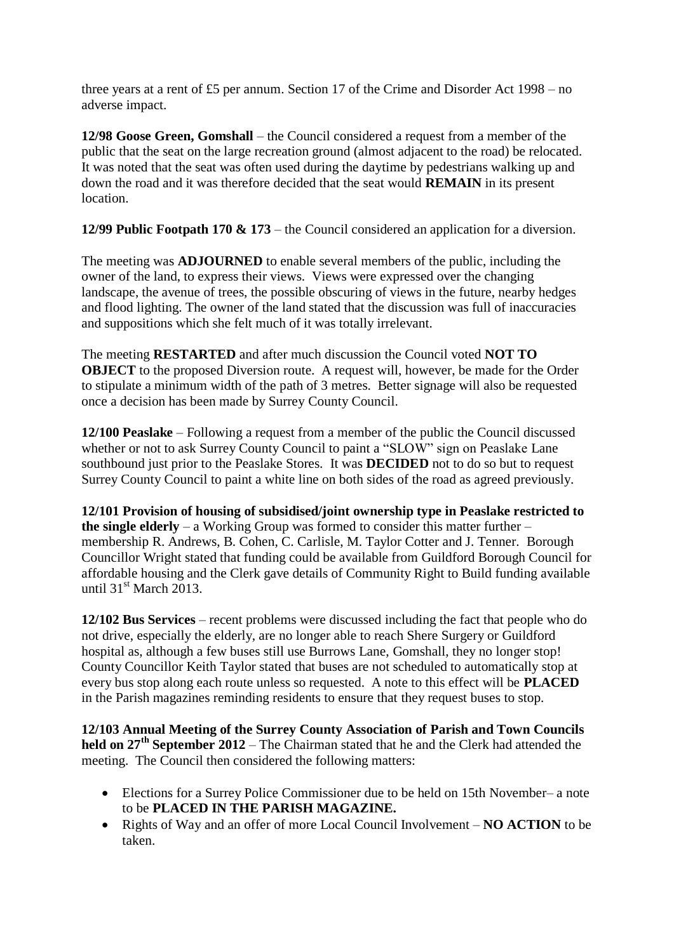three years at a rent of £5 per annum. Section 17 of the Crime and Disorder Act 1998 – no adverse impact.

**12/98 Goose Green, Gomshall** – the Council considered a request from a member of the public that the seat on the large recreation ground (almost adjacent to the road) be relocated. It was noted that the seat was often used during the daytime by pedestrians walking up and down the road and it was therefore decided that the seat would **REMAIN** in its present location.

**12/99 Public Footpath 170 & 173** – the Council considered an application for a diversion.

The meeting was **ADJOURNED** to enable several members of the public, including the owner of the land, to express their views. Views were expressed over the changing landscape, the avenue of trees, the possible obscuring of views in the future, nearby hedges and flood lighting. The owner of the land stated that the discussion was full of inaccuracies and suppositions which she felt much of it was totally irrelevant.

The meeting **RESTARTED** and after much discussion the Council voted **NOT TO OBJECT** to the proposed Diversion route. A request will, however, be made for the Order to stipulate a minimum width of the path of 3 metres. Better signage will also be requested once a decision has been made by Surrey County Council.

**12/100 Peaslake** – Following a request from a member of the public the Council discussed whether or not to ask Surrey County Council to paint a "SLOW" sign on Peaslake Lane southbound just prior to the Peaslake Stores. It was **DECIDED** not to do so but to request Surrey County Council to paint a white line on both sides of the road as agreed previously.

**12/101 Provision of housing of subsidised/joint ownership type in Peaslake restricted to the single elderly** – a Working Group was formed to consider this matter further – membership R. Andrews, B. Cohen, C. Carlisle, M. Taylor Cotter and J. Tenner. Borough Councillor Wright stated that funding could be available from Guildford Borough Council for affordable housing and the Clerk gave details of Community Right to Build funding available until  $31<sup>st</sup>$  March 2013.

**12/102 Bus Services** – recent problems were discussed including the fact that people who do not drive, especially the elderly, are no longer able to reach Shere Surgery or Guildford hospital as, although a few buses still use Burrows Lane, Gomshall, they no longer stop! County Councillor Keith Taylor stated that buses are not scheduled to automatically stop at every bus stop along each route unless so requested. A note to this effect will be **PLACED** in the Parish magazines reminding residents to ensure that they request buses to stop.

**12/103 Annual Meeting of the Surrey County Association of Parish and Town Councils held on 27th September 2012** – The Chairman stated that he and the Clerk had attended the meeting. The Council then considered the following matters:

- Elections for a Surrey Police Commissioner due to be held on 15th November– a note to be **PLACED IN THE PARISH MAGAZINE.**
- Rights of Way and an offer of more Local Council Involvement **NO ACTION** to be taken.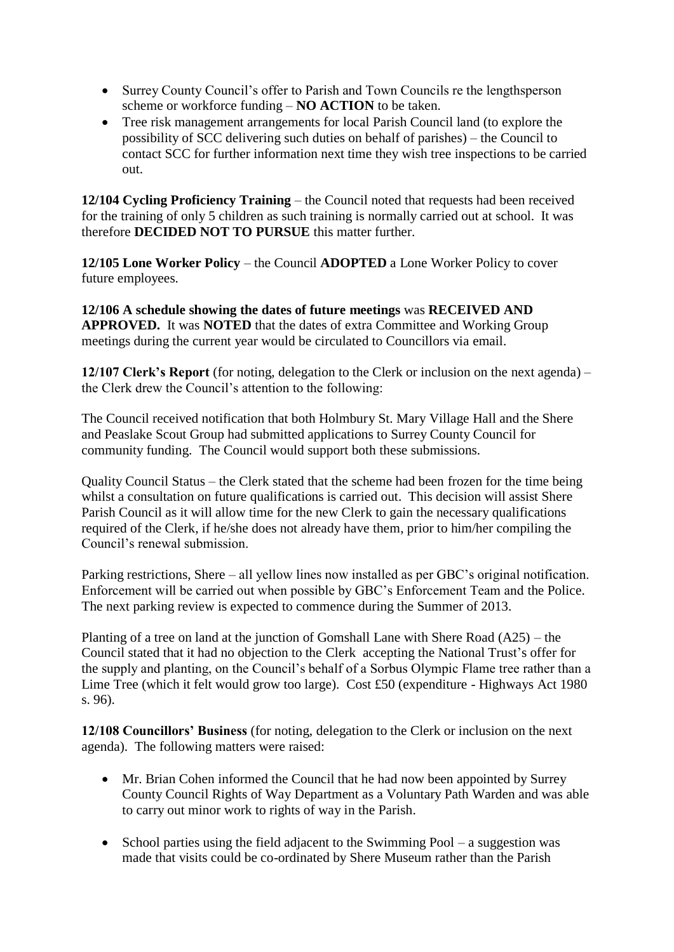- Surrey County Council's offer to Parish and Town Councils re the lengthsperson scheme or workforce funding – **NO ACTION** to be taken.
- Tree risk management arrangements for local Parish Council land (to explore the possibility of SCC delivering such duties on behalf of parishes) – the Council to contact SCC for further information next time they wish tree inspections to be carried out.

**12/104 Cycling Proficiency Training** – the Council noted that requests had been received for the training of only 5 children as such training is normally carried out at school. It was therefore **DECIDED NOT TO PURSUE** this matter further.

**12/105 Lone Worker Policy** – the Council **ADOPTED** a Lone Worker Policy to cover future employees.

**12/106 A schedule showing the dates of future meetings** was **RECEIVED AND APPROVED.** It was **NOTED** that the dates of extra Committee and Working Group meetings during the current year would be circulated to Councillors via email.

**12/107 Clerk's Report** (for noting, delegation to the Clerk or inclusion on the next agenda) – the Clerk drew the Council's attention to the following:

The Council received notification that both Holmbury St. Mary Village Hall and the Shere and Peaslake Scout Group had submitted applications to Surrey County Council for community funding. The Council would support both these submissions.

Quality Council Status – the Clerk stated that the scheme had been frozen for the time being whilst a consultation on future qualifications is carried out. This decision will assist Shere Parish Council as it will allow time for the new Clerk to gain the necessary qualifications required of the Clerk, if he/she does not already have them, prior to him/her compiling the Council's renewal submission.

Parking restrictions, Shere – all yellow lines now installed as per GBC's original notification. Enforcement will be carried out when possible by GBC's Enforcement Team and the Police. The next parking review is expected to commence during the Summer of 2013.

Planting of a tree on land at the junction of Gomshall Lane with Shere Road (A25) – the Council stated that it had no objection to the Clerk accepting the National Trust's offer for the supply and planting, on the Council's behalf of a Sorbus Olympic Flame tree rather than a Lime Tree (which it felt would grow too large). Cost £50 (expenditure - Highways Act 1980 s. 96).

**12/108 Councillors' Business** (for noting, delegation to the Clerk or inclusion on the next agenda). The following matters were raised:

- Mr. Brian Cohen informed the Council that he had now been appointed by Surrey County Council Rights of Way Department as a Voluntary Path Warden and was able to carry out minor work to rights of way in the Parish.
- School parties using the field adjacent to the Swimming Pool  $-$  a suggestion was made that visits could be co-ordinated by Shere Museum rather than the Parish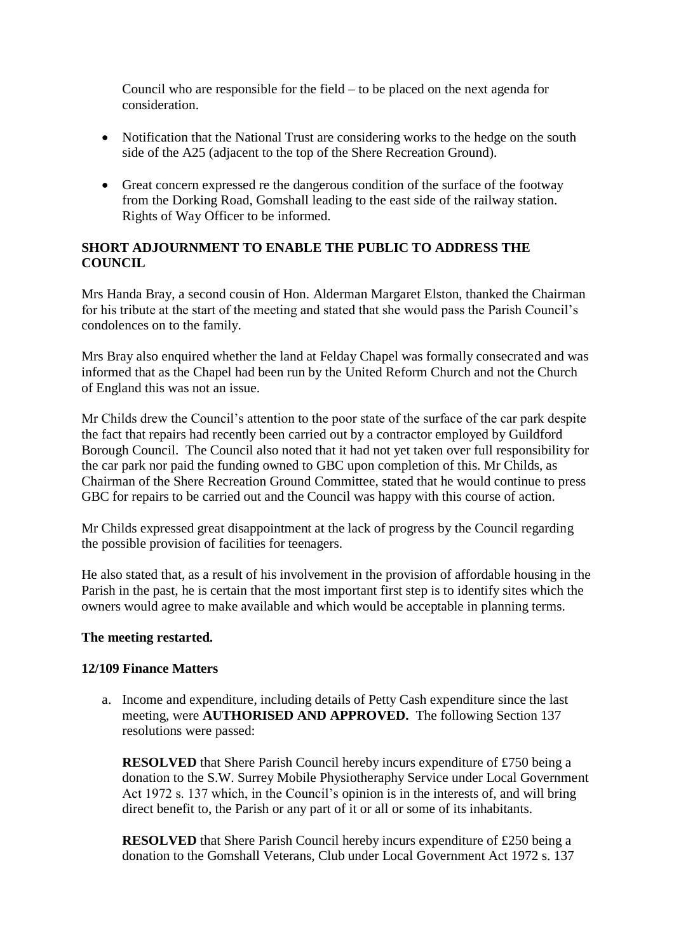Council who are responsible for the field – to be placed on the next agenda for consideration.

- Notification that the National Trust are considering works to the hedge on the south side of the A25 (adjacent to the top of the Shere Recreation Ground).
- Great concern expressed re the dangerous condition of the surface of the footway from the Dorking Road, Gomshall leading to the east side of the railway station. Rights of Way Officer to be informed.

### **SHORT ADJOURNMENT TO ENABLE THE PUBLIC TO ADDRESS THE COUNCIL**

Mrs Handa Bray, a second cousin of Hon. Alderman Margaret Elston, thanked the Chairman for his tribute at the start of the meeting and stated that she would pass the Parish Council's condolences on to the family.

Mrs Bray also enquired whether the land at Felday Chapel was formally consecrated and was informed that as the Chapel had been run by the United Reform Church and not the Church of England this was not an issue.

Mr Childs drew the Council's attention to the poor state of the surface of the car park despite the fact that repairs had recently been carried out by a contractor employed by Guildford Borough Council. The Council also noted that it had not yet taken over full responsibility for the car park nor paid the funding owned to GBC upon completion of this. Mr Childs, as Chairman of the Shere Recreation Ground Committee, stated that he would continue to press GBC for repairs to be carried out and the Council was happy with this course of action.

Mr Childs expressed great disappointment at the lack of progress by the Council regarding the possible provision of facilities for teenagers.

He also stated that, as a result of his involvement in the provision of affordable housing in the Parish in the past, he is certain that the most important first step is to identify sites which the owners would agree to make available and which would be acceptable in planning terms.

#### **The meeting restarted.**

#### **12/109 Finance Matters**

a. Income and expenditure, including details of Petty Cash expenditure since the last meeting, were **AUTHORISED AND APPROVED.** The following Section 137 resolutions were passed:

**RESOLVED** that Shere Parish Council hereby incurs expenditure of £750 being a donation to the S.W. Surrey Mobile Physiotheraphy Service under Local Government Act 1972 s. 137 which, in the Council's opinion is in the interests of, and will bring direct benefit to, the Parish or any part of it or all or some of its inhabitants.

**RESOLVED** that Shere Parish Council hereby incurs expenditure of £250 being a donation to the Gomshall Veterans, Club under Local Government Act 1972 s. 137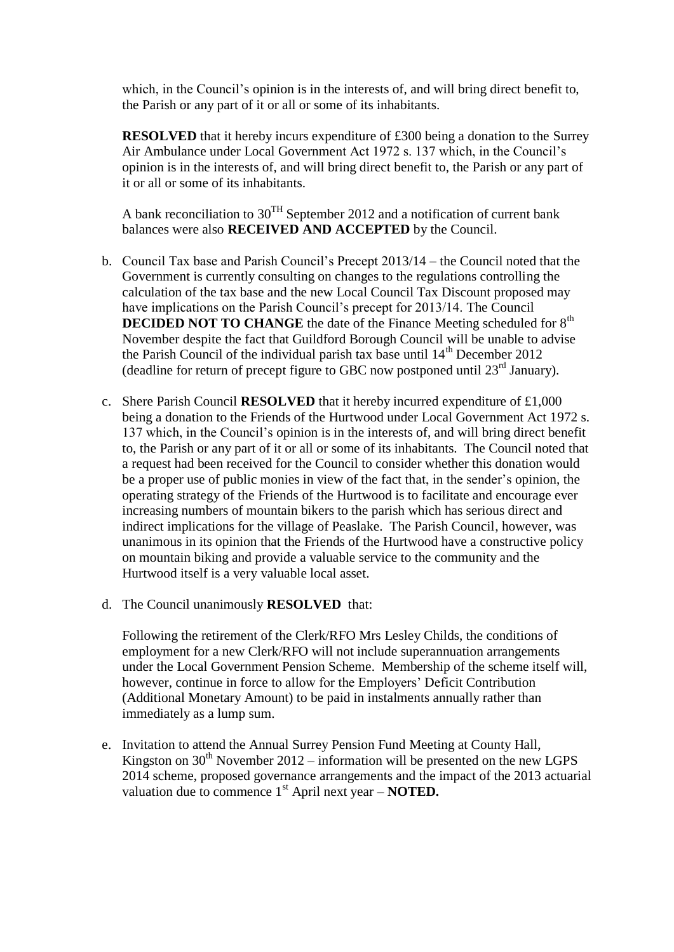which, in the Council's opinion is in the interests of, and will bring direct benefit to, the Parish or any part of it or all or some of its inhabitants.

**RESOLVED** that it hereby incurs expenditure of £300 being a donation to the Surrey Air Ambulance under Local Government Act 1972 s. 137 which, in the Council's opinion is in the interests of, and will bring direct benefit to, the Parish or any part of it or all or some of its inhabitants.

A bank reconciliation to  $30^{TH}$  September 2012 and a notification of current bank balances were also **RECEIVED AND ACCEPTED** by the Council.

- b. Council Tax base and Parish Council's Precept 2013/14 the Council noted that the Government is currently consulting on changes to the regulations controlling the calculation of the tax base and the new Local Council Tax Discount proposed may have implications on the Parish Council's precept for 2013/14. The Council **DECIDED NOT TO CHANGE** the date of the Finance Meeting scheduled for 8<sup>th</sup> November despite the fact that Guildford Borough Council will be unable to advise the Parish Council of the individual parish tax base until  $14<sup>th</sup>$  December 2012 (deadline for return of precept figure to GBC now postponed until  $23^{\text{rd}}$  January).
- c. Shere Parish Council **RESOLVED** that it hereby incurred expenditure of £1,000 being a donation to the Friends of the Hurtwood under Local Government Act 1972 s. 137 which, in the Council's opinion is in the interests of, and will bring direct benefit to, the Parish or any part of it or all or some of its inhabitants. The Council noted that a request had been received for the Council to consider whether this donation would be a proper use of public monies in view of the fact that, in the sender's opinion, the operating strategy of the Friends of the Hurtwood is to facilitate and encourage ever increasing numbers of mountain bikers to the parish which has serious direct and indirect implications for the village of Peaslake. The Parish Council, however, was unanimous in its opinion that the Friends of the Hurtwood have a constructive policy on mountain biking and provide a valuable service to the community and the Hurtwood itself is a very valuable local asset.
- d. The Council unanimously **RESOLVED** that:

Following the retirement of the Clerk/RFO Mrs Lesley Childs, the conditions of employment for a new Clerk/RFO will not include superannuation arrangements under the Local Government Pension Scheme. Membership of the scheme itself will, however, continue in force to allow for the Employers' Deficit Contribution (Additional Monetary Amount) to be paid in instalments annually rather than immediately as a lump sum.

e. Invitation to attend the Annual Surrey Pension Fund Meeting at County Hall, Kingston on  $30<sup>th</sup>$  November 2012 – information will be presented on the new LGPS 2014 scheme, proposed governance arrangements and the impact of the 2013 actuarial valuation due to commence 1<sup>st</sup> April next year – **NOTED.**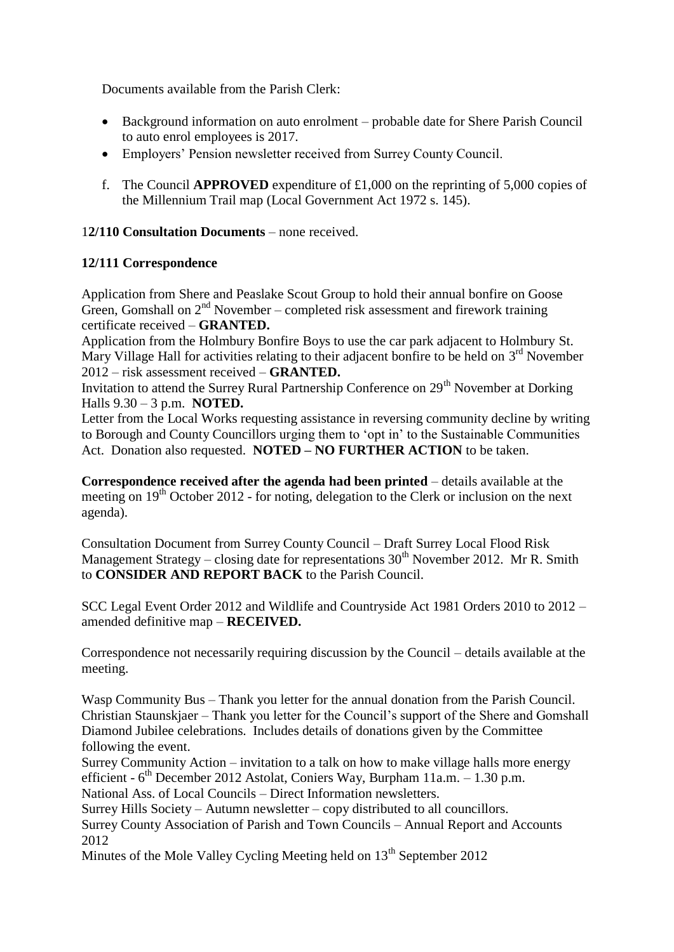Documents available from the Parish Clerk:

- Background information on auto enrolment probable date for Shere Parish Council to auto enrol employees is 2017.
- Employers' Pension newsletter received from Surrey County Council.
- f. The Council **APPROVED** expenditure of £1,000 on the reprinting of 5,000 copies of the Millennium Trail map (Local Government Act 1972 s. 145).

# 1**2/110 Consultation Documents** – none received.

## **12/111 Correspondence**

Application from Shere and Peaslake Scout Group to hold their annual bonfire on Goose Green, Gomshall on  $2<sup>nd</sup>$  November – completed risk assessment and firework training certificate received – **GRANTED.** 

Application from the Holmbury Bonfire Boys to use the car park adjacent to Holmbury St. Mary Village Hall for activities relating to their adjacent bonfire to be held on 3<sup>rd</sup> November 2012 – risk assessment received – **GRANTED.**

Invitation to attend the Surrey Rural Partnership Conference on 29<sup>th</sup> November at Dorking Halls 9.30 – 3 p.m. **NOTED.**

Letter from the Local Works requesting assistance in reversing community decline by writing to Borough and County Councillors urging them to 'opt in' to the Sustainable Communities Act. Donation also requested. **NOTED – NO FURTHER ACTION** to be taken.

**Correspondence received after the agenda had been printed** – details available at the meeting on  $19<sup>th</sup>$  October 2012 - for noting, delegation to the Clerk or inclusion on the next agenda).

Consultation Document from Surrey County Council – Draft Surrey Local Flood Risk Management Strategy – closing date for representations  $30<sup>th</sup>$  November 2012. Mr R. Smith to **CONSIDER AND REPORT BACK** to the Parish Council.

SCC Legal Event Order 2012 and Wildlife and Countryside Act 1981 Orders 2010 to 2012 – amended definitive map – **RECEIVED.**

Correspondence not necessarily requiring discussion by the Council – details available at the meeting.

Wasp Community Bus – Thank you letter for the annual donation from the Parish Council. Christian Staunskjaer – Thank you letter for the Council's support of the Shere and Gomshall Diamond Jubilee celebrations. Includes details of donations given by the Committee following the event.

Surrey Community Action – invitation to a talk on how to make village halls more energy efficient - 6<sup>th</sup> December 2012 Astolat, Coniers Way, Burpham 11a.m. - 1.30 p.m.

National Ass. of Local Councils – Direct Information newsletters.

Surrey Hills Society – Autumn newsletter – copy distributed to all councillors.

Surrey County Association of Parish and Town Councils – Annual Report and Accounts 2012

Minutes of the Mole Valley Cycling Meeting held on  $13<sup>th</sup>$  September 2012